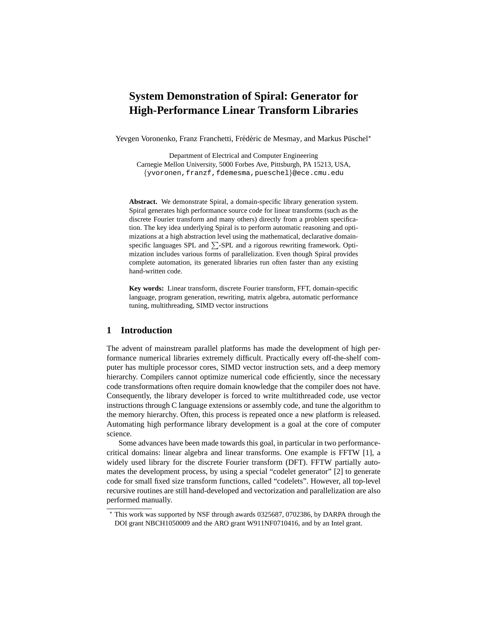# **System Demonstration of Spiral: Generator for High-Performance Linear Transform Libraries**

Yevgen Voronenko, Franz Franchetti, Frédéric de Mesmay, and Markus Püschel\*

Department of Electrical and Computer Engineering Carnegie Mellon University, 5000 Forbes Ave, Pittsburgh, PA 15213, USA, {yvoronen,franzf,fdemesma,pueschel}@ece.cmu.edu

**Abstract.** We demonstrate Spiral, a domain-specific library generation system. Spiral generates high performance source code for linear transforms (such as the discrete Fourier transform and many others) directly from a problem specification. The key idea underlying Spiral is to perform automatic reasoning and optimizations at a high abstraction level using the mathematical, declarative domainspecific languages SPL and  $\Sigma$ -SPL and a rigorous rewriting framework. Optimization includes various forms of parallelization. Even though Spiral provides complete automation, its generated libraries run often faster than any existing hand-written code.

**Key words:** Linear transform, discrete Fourier transform, FFT, domain-specific language, program generation, rewriting, matrix algebra, automatic performance tuning, multithreading, SIMD vector instructions

# **1 Introduction**

The advent of mainstream parallel platforms has made the development of high performance numerical libraries extremely difficult. Practically every off-the-shelf computer has multiple processor cores, SIMD vector instruction sets, and a deep memory hierarchy. Compilers cannot optimize numerical code efficiently, since the necessary code transformations often require domain knowledge that the compiler does not have. Consequently, the library developer is forced to write multithreaded code, use vector instructions through C language extensions or assembly code, and tune the algorithm to the memory hierarchy. Often, this process is repeated once a new platform is released. Automating high performance library development is a goal at the core of computer science.

Some advances have been made towards this goal, in particular in two performancecritical domains: linear algebra and linear transforms. One example is FFTW [1], a widely used library for the discrete Fourier transform (DFT). FFTW partially automates the development process, by using a special "codelet generator" [2] to generate code for small fixed size transform functions, called "codelets". However, all top-level recursive routines are still hand-developed and vectorization and parallelization are also performed manually.

<sup>⋆</sup> This work was supported by NSF through awards 0325687, 0702386, by DARPA through the DOI grant NBCH1050009 and the ARO grant W911NF0710416, and by an Intel grant.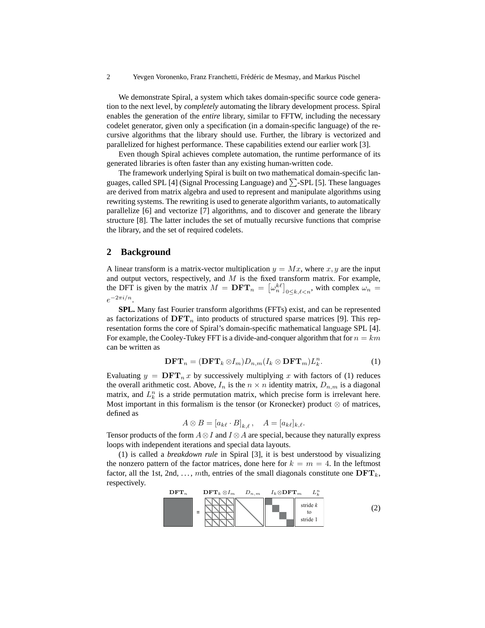2 Yevgen Voronenko, Franz Franchetti, Frédéric de Mesmay, and Markus Püschel

We demonstrate Spiral, a system which takes domain-specific source code generation to the next level, by *completely* automating the library development process. Spiral enables the generation of the *entire* library, similar to FFTW, including the necessary codelet generator, given only a specification (in a domain-specific language) of the recursive algorithms that the library should use. Further, the library is vectorized and parallelized for highest performance. These capabilities extend our earlier work [3].

Even though Spiral achieves complete automation, the runtime performance of its generated libraries is often faster than any existing human-written code.

The framework underlying Spiral is built on two mathematical domain-specific languages, called SPL [4] (Signal Processing Language) and  $\Sigma$ -SPL [5]. These languages are derived from matrix algebra and used to represent and manipulate algorithms using rewriting systems. The rewriting is used to generate algorithm variants, to automatically parallelize [6] and vectorize [7] algorithms, and to discover and generate the library structure [8]. The latter includes the set of mutually recursive functions that comprise the library, and the set of required codelets.

#### **2 Background**

A linear transform is a matrix-vector multiplication  $y = Mx$ , where x, y are the input and output vectors, respectively, and  $M$  is the fixed transform matrix. For example, the DFT is given by the matrix  $M = DFT_n = [\omega_n^{k\ell}]_{0 \le k,\ell < n}$ , with complex  $\omega_n =$  $e^{-2\pi i/n}$ .

**SPL.** Many fast Fourier transform algorithms (FFTs) exist, and can be represented as factorizations of  $\text{DFT}_n$  into products of structured sparse matrices [9]. This representation forms the core of Spiral's domain-specific mathematical language SPL [4]. For example, the Cooley-Tukey FFT is a divide-and-conquer algorithm that for  $n = km$ can be written as

$$
\mathbf{DFT}_n = (\mathbf{DFT}_k \otimes I_m) D_{n,m} (I_k \otimes \mathbf{DFT}_m) L_k^n.
$$
 (1)

Evaluating  $y = DFT_n x$  by successively multiplying x with factors of (1) reduces the overall arithmetic cost. Above,  $I_n$  is the  $n \times n$  identity matrix,  $D_{n,m}$  is a diagonal matrix, and  $L_k^n$  is a stride permutation matrix, which precise form is irrelevant here. Most important in this formalism is the tensor (or Kronecker) product  $\otimes$  of matrices, defined as

$$
A \otimes B = [a_{k\ell} \cdot B]_{k,\ell}, \quad A = [a_{k\ell}]_{k,\ell}.
$$

Tensor products of the form  $A \otimes I$  and  $I \otimes A$  are special, because they naturally express loops with independent iterations and special data layouts.

(1) is called a *breakdown rule* in Spiral [3], it is best understood by visualizing the nonzero pattern of the factor matrices, done here for  $k = m = 4$ . In the leftmost factor, all the 1st, 2nd, ..., mth, entries of the small diagonals constitute one  $\text{DFT}_k$ , respectively.

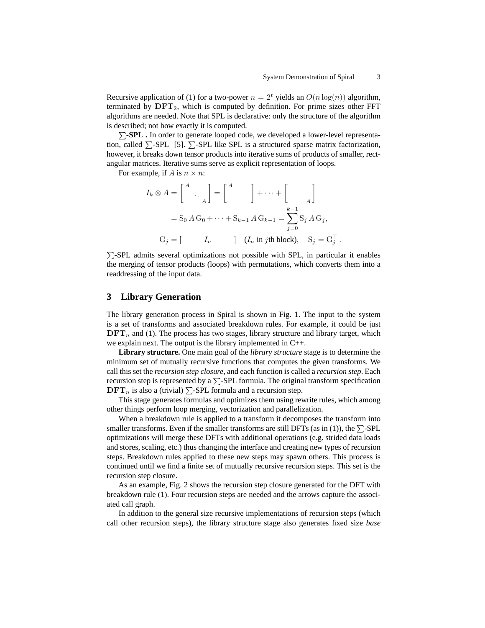Recursive application of (1) for a two-power  $n = 2<sup>t</sup>$  yields an  $O(n \log(n))$  algorithm, terminated by  $\mathbf{DFT}_2$ , which is computed by definition. For prime sizes other FFT algorithms are needed. Note that SPL is declarative: only the structure of the algorithm is described; not how exactly it is computed.

P**-SPL .** In order to generate looped code, we developed a lower-level representation, called  $\Sigma$ -SPL [5].  $\Sigma$ -SPL like SPL is a structured sparse matrix factorization, however, it breaks down tensor products into iterative sums of products of smaller, rectangular matrices. Iterative sums serve as explicit representation of loops.

For example, if A is  $n \times n$ :

$$
I_k \otimes A = \begin{bmatrix} A \\ & \ddots \\ & & A \end{bmatrix} = \begin{bmatrix} A \\ & \end{bmatrix} + \dots + \begin{bmatrix} \\ & A \end{bmatrix}
$$

$$
= S_0 A G_0 + \dots + S_{k-1} A G_{k-1} = \sum_{j=0}^{k-1} S_j A G_j,
$$

$$
G_j = \begin{bmatrix} I_n & \vdots \\ & I_n & \vdots \end{bmatrix} (I_n \text{ in } j\text{th block}), \quad S_j = G_j^\top.
$$

 $\Sigma$ -SPL admits several optimizations not possible with SPL, in particular it enables the merging of tensor products (loops) with permutations, which converts them into a readdressing of the input data.

## **3 Library Generation**

The library generation process in Spiral is shown in Fig. 1. The input to the system is a set of transforms and associated breakdown rules. For example, it could be just  $\text{DFT}_n$  and (1). The process has two stages, library structure and library target, which we explain next. The output is the library implemented in C++.

**Library structure.** One main goal of the *library structure* stage is to determine the minimum set of mutually recursive functions that computes the given transforms. We call this set the *recursion step closure*, and each function is called a *recursion step*. Each recursion step is represented by a  $\Sigma$ -SPL formula. The original transform specification  $\text{DFT}_n$  is also a (trivial)  $\Sigma$ -SPL formula and a recursion step.

This stage generates formulas and optimizes them using rewrite rules, which among other things perform loop merging, vectorization and parallelization.

When a breakdown rule is applied to a transform it decomposes the transform into smaller transforms. Even if the smaller transforms are still DFTs (as in (1)), the  $\Sigma$ -SPL optimizations will merge these DFTs with additional operations (e.g. strided data loads and stores, scaling, etc.) thus changing the interface and creating new types of recursion steps. Breakdown rules applied to these new steps may spawn others. This process is continued until we find a finite set of mutually recursive recursion steps. This set is the recursion step closure.

As an example, Fig. 2 shows the recursion step closure generated for the DFT with breakdown rule (1). Four recursion steps are needed and the arrows capture the associated call graph.

In addition to the general size recursive implementations of recursion steps (which call other recursion steps), the library structure stage also generates fixed size *base*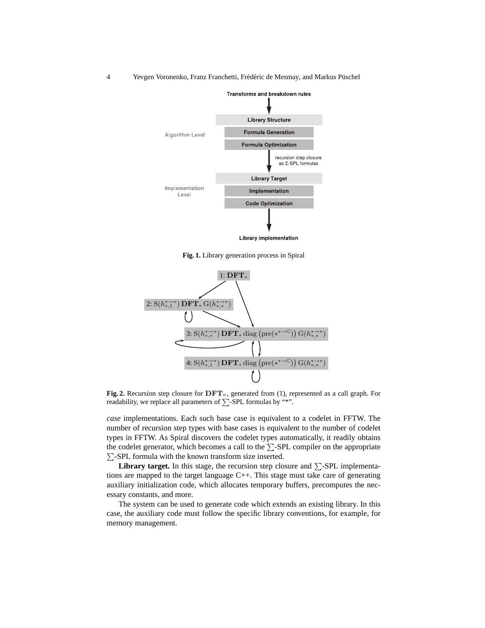4 Yevgen Voronenko, Franz Franchetti, Frédéric de Mesmay, and Markus Püschel



**Fig. 1.** Library generation process in Spiral



Fig. 2. Recursion step closure for  $DFT_n$ , generated from (1), represented as a call graph. For readability, we replace all parameters of  $\sum$ -SPL formulas by "\*".

*case* implementations. Each such base case is equivalent to a codelet in FFTW. The number of recursion step types with base cases is equivalent to the number of codelet types in FFTW. As Spiral discovers the codelet types automatically, it readily obtains the codelet generator, which becomes a call to the  $\Sigma$ -SPL compiler on the appropriate  $\Sigma$ -SPL formula with the known transform size inserted.

**Library target.** In this stage, the recursion step closure and  $\Sigma$ -SPL implementations are mapped to the target language C++. This stage must take care of generating auxiliary initialization code, which allocates temporary buffers, precomputes the necessary constants, and more.

The system can be used to generate code which extends an existing library. In this case, the auxiliary code must follow the specific library conventions, for example, for memory management.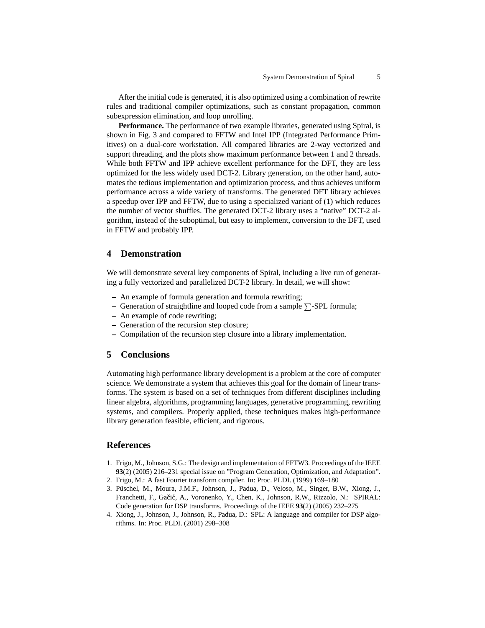After the initial code is generated, it is also optimized using a combination of rewrite rules and traditional compiler optimizations, such as constant propagation, common subexpression elimination, and loop unrolling.

**Performance.** The performance of two example libraries, generated using Spiral, is shown in Fig. 3 and compared to FFTW and Intel IPP (Integrated Performance Primitives) on a dual-core workstation. All compared libraries are 2-way vectorized and support threading, and the plots show maximum performance between 1 and 2 threads. While both FFTW and IPP achieve excellent performance for the DFT, they are less optimized for the less widely used DCT-2. Library generation, on the other hand, automates the tedious implementation and optimization process, and thus achieves uniform performance across a wide variety of transforms. The generated DFT library achieves a speedup over IPP and FFTW, due to using a specialized variant of (1) which reduces the number of vector shuffles. The generated DCT-2 library uses a "native" DCT-2 algorithm, instead of the suboptimal, but easy to implement, conversion to the DFT, used in FFTW and probably IPP.

#### **4 Demonstration**

We will demonstrate several key components of Spiral, including a live run of generating a fully vectorized and parallelized DCT-2 library. In detail, we will show:

- **–** An example of formula generation and formula rewriting;
- **–** Generation of straightline and looped code from a sample  $\Sigma$ -SPL formula;
- **–** An example of code rewriting;
- **–** Generation of the recursion step closure;
- **–** Compilation of the recursion step closure into a library implementation.

#### **5 Conclusions**

Automating high performance library development is a problem at the core of computer science. We demonstrate a system that achieves this goal for the domain of linear transforms. The system is based on a set of techniques from different disciplines including linear algebra, algorithms, programming languages, generative programming, rewriting systems, and compilers. Properly applied, these techniques makes high-performance library generation feasible, efficient, and rigorous.

## **References**

- 1. Frigo, M., Johnson, S.G.: The design and implementation of FFTW3. Proceedings of the IEEE **93**(2) (2005) 216–231 special issue on "Program Generation, Optimization, and Adaptation".
- 2. Frigo, M.: A fast Fourier transform compiler. In: Proc. PLDI. (1999) 169–180
- 3. Püschel, M., Moura, J.M.F., Johnson, J., Padua, D., Veloso, M., Singer, B.W., Xiong, J., Franchetti, F., Gačić, A., Voronenko, Y., Chen, K., Johnson, R.W., Rizzolo, N.: SPIRAL: Code generation for DSP transforms. Proceedings of the IEEE **93**(2) (2005) 232–275
- 4. Xiong, J., Johnson, J., Johnson, R., Padua, D.: SPL: A language and compiler for DSP algorithms. In: Proc. PLDI. (2001) 298–308